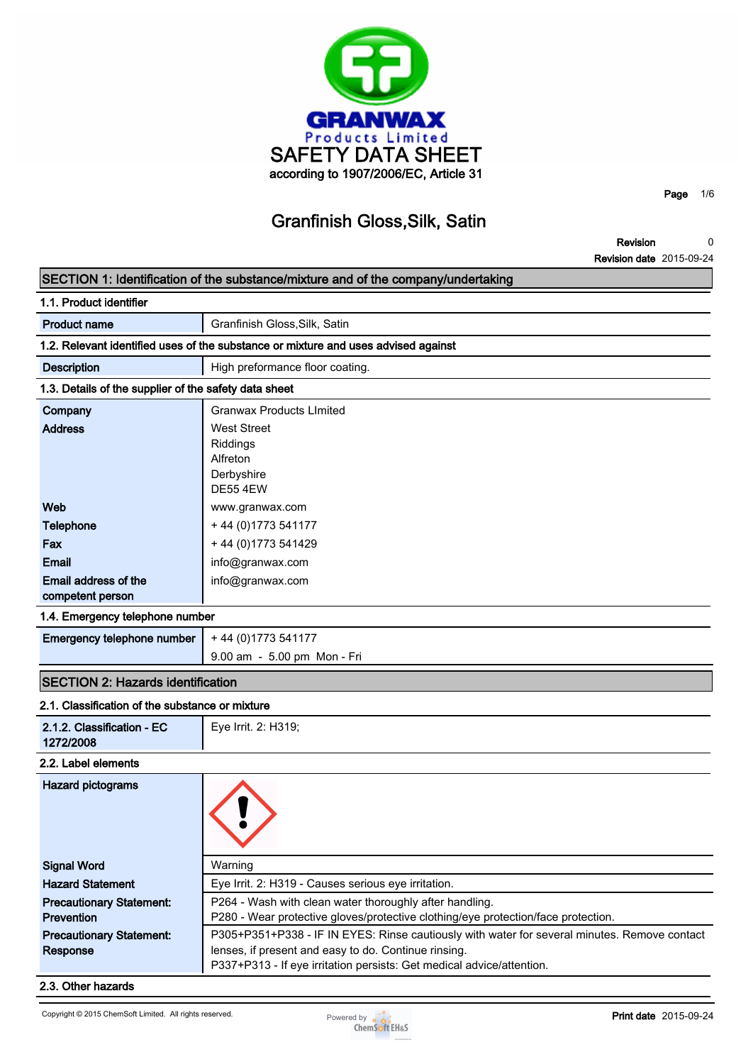

**Revision Revision date 2015-09-24 0**

**Page 1/6**

# **SECTION 1: Identification of the substance/mixture and of the company/undertaking**

| 1.1. Product identifier                               |                                                                                    |  |  |  |
|-------------------------------------------------------|------------------------------------------------------------------------------------|--|--|--|
| <b>Product name</b>                                   | Granfinish Gloss, Silk, Satin                                                      |  |  |  |
|                                                       | 1.2. Relevant identified uses of the substance or mixture and uses advised against |  |  |  |
| <b>Description</b>                                    | High preformance floor coating.                                                    |  |  |  |
| 1.3. Details of the supplier of the safety data sheet |                                                                                    |  |  |  |
| Company                                               | <b>Granwax Products Limited</b>                                                    |  |  |  |
| <b>Address</b>                                        | West Street<br><b>Riddings</b><br>Alfreton<br>Derbyshire<br><b>DE55 4EW</b>        |  |  |  |
| Web                                                   | www.granwax.com                                                                    |  |  |  |
| <b>Telephone</b>                                      | + 44 (0) 1773 541177                                                               |  |  |  |
| Fax                                                   | + 44 (0) 1773 541429                                                               |  |  |  |
| Email                                                 | info@granwax.com                                                                   |  |  |  |
| Email address of the<br>competent person              | info@granwax.com                                                                   |  |  |  |

### **1.4. Emergency telephone number**

| <b>Emergency telephone number</b> $+44(0)1773541177$ |                             |
|------------------------------------------------------|-----------------------------|
|                                                      | 9.00 am - 5.00 pm Mon - Fri |

## **SECTION 2: Hazards identification**

| 2.1. Classification of the substance or mixture      |                                                                                                                                                                                                                               |
|------------------------------------------------------|-------------------------------------------------------------------------------------------------------------------------------------------------------------------------------------------------------------------------------|
| 2.1.2. Classification - EC<br>1272/2008              | Eye Irrit. 2: H319;                                                                                                                                                                                                           |
| 2.2. Label elements                                  |                                                                                                                                                                                                                               |
| <b>Hazard pictograms</b>                             |                                                                                                                                                                                                                               |
| <b>Signal Word</b>                                   | Warning                                                                                                                                                                                                                       |
| <b>Hazard Statement</b>                              | Eye Irrit. 2: H319 - Causes serious eye irritation.                                                                                                                                                                           |
| <b>Precautionary Statement:</b><br><b>Prevention</b> | P264 - Wash with clean water thoroughly after handling.<br>P280 - Wear protective gloves/protective clothing/eye protection/face protection.                                                                                  |
| <b>Precautionary Statement:</b><br>Response          | P305+P351+P338 - IF IN EYES: Rinse cautiously with water for several minutes. Remove contact<br>lenses, if present and easy to do. Continue rinsing.<br>P337+P313 - If eye irritation persists: Get medical advice/attention. |

#### **2.3. Other hazards**

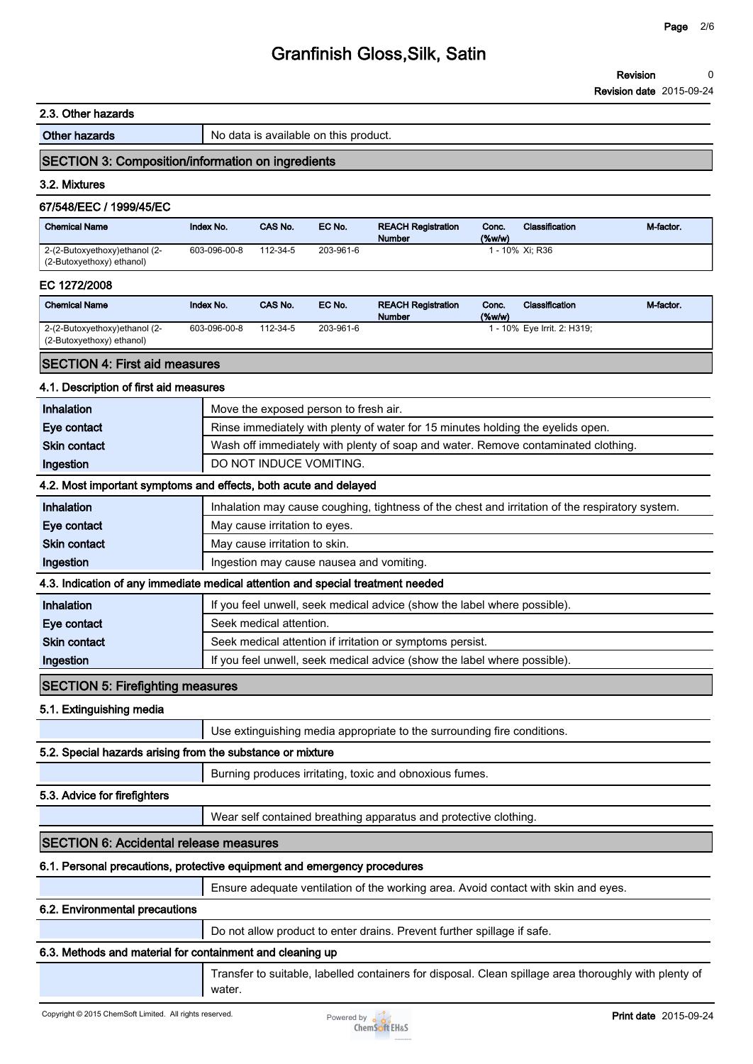#### **2.3. Other hazards**

**Other hazards No data is available on this product.** 

### **SECTION 3: Composition/information on ingredients**

#### **3.2. Mixtures**

### **67/548/EEC / 1999/45/EC**

| <b>Chemical Name</b>                                       | Index No.    | CAS No.  | EC No.    | <b>REACH Registration</b><br><b>Number</b> | Conc.<br>$(\%w/w)$ | <b>Classification</b> | M-factor. |
|------------------------------------------------------------|--------------|----------|-----------|--------------------------------------------|--------------------|-----------------------|-----------|
| 2-(2-Butoxyethoxy)ethanol (2-<br>(2-Butoxyethoxy) ethanol) | 603-096-00-8 | 112-34-5 | 203-961-6 |                                            |                    | l - 10% Xi: R36       |           |

#### **EC 1272/2008**

| <b>Chemical Name</b>                                       | Index No.    | CAS No.  | EC No.    | <b>REACH Registration</b><br><b>Number</b> | Conc.<br>(%w/w) | Classification              | M-factor. |
|------------------------------------------------------------|--------------|----------|-----------|--------------------------------------------|-----------------|-----------------------------|-----------|
| 2-(2-Butoxyethoxy)ethanol (2-<br>(2-Butoxyethoxy) ethanol) | 603-096-00-8 | 112-34-5 | 203-961-6 |                                            |                 | 1 - 10% Eye Irrit. 2: H319; |           |

# **SECTION 4: First aid measures**

#### **4.1. Description of first aid measures**

| Inhalation                                                 | Move the exposed person to fresh air.                                                           |  |  |  |
|------------------------------------------------------------|-------------------------------------------------------------------------------------------------|--|--|--|
| Eye contact                                                | Rinse immediately with plenty of water for 15 minutes holding the eyelids open.                 |  |  |  |
| <b>Skin contact</b>                                        | Wash off immediately with plenty of soap and water. Remove contaminated clothing.               |  |  |  |
| Ingestion                                                  | DO NOT INDUCE VOMITING.                                                                         |  |  |  |
|                                                            | 4.2. Most important symptoms and effects, both acute and delayed                                |  |  |  |
| Inhalation                                                 | Inhalation may cause coughing, tightness of the chest and irritation of the respiratory system. |  |  |  |
| Eye contact                                                | May cause irritation to eyes.                                                                   |  |  |  |
| <b>Skin contact</b>                                        | May cause irritation to skin.                                                                   |  |  |  |
| Ingestion                                                  | Ingestion may cause nausea and vomiting.                                                        |  |  |  |
|                                                            | 4.3. Indication of any immediate medical attention and special treatment needed                 |  |  |  |
| Inhalation                                                 | If you feel unwell, seek medical advice (show the label where possible).                        |  |  |  |
| Eye contact                                                | Seek medical attention.                                                                         |  |  |  |
| <b>Skin contact</b>                                        | Seek medical attention if irritation or symptoms persist.                                       |  |  |  |
| Ingestion                                                  | If you feel unwell, seek medical advice (show the label where possible).                        |  |  |  |
| <b>SECTION 5: Firefighting measures</b>                    |                                                                                                 |  |  |  |
| 5.1. Extinguishing media                                   |                                                                                                 |  |  |  |
|                                                            | Use extinguishing media appropriate to the surrounding fire conditions.                         |  |  |  |
| 5.2. Special hazards arising from the substance or mixture |                                                                                                 |  |  |  |
|                                                            | Burning produces irritating, toxic and obnoxious fumes.                                         |  |  |  |
| 5.3. Advice for firefighters                               |                                                                                                 |  |  |  |
|                                                            | Wear self contained breathing apparatus and protective clothing.                                |  |  |  |
| <b>SECTION 6: Accidental release measures</b>              |                                                                                                 |  |  |  |
|                                                            | 6.1. Personal precautions, protective equipment and emergency procedures                        |  |  |  |
|                                                            | Ensure adequate ventilation of the working area. Avoid contact with skin and eyes.              |  |  |  |
| 6.2. Environmental precautions                             |                                                                                                 |  |  |  |

**Do not allow product to enter drains. Prevent further spillage if safe.**

### **6.3. Methods and material for containment and cleaning up**

**Transfer to suitable, labelled containers for disposal. Clean spillage area thoroughly with plenty of water.**

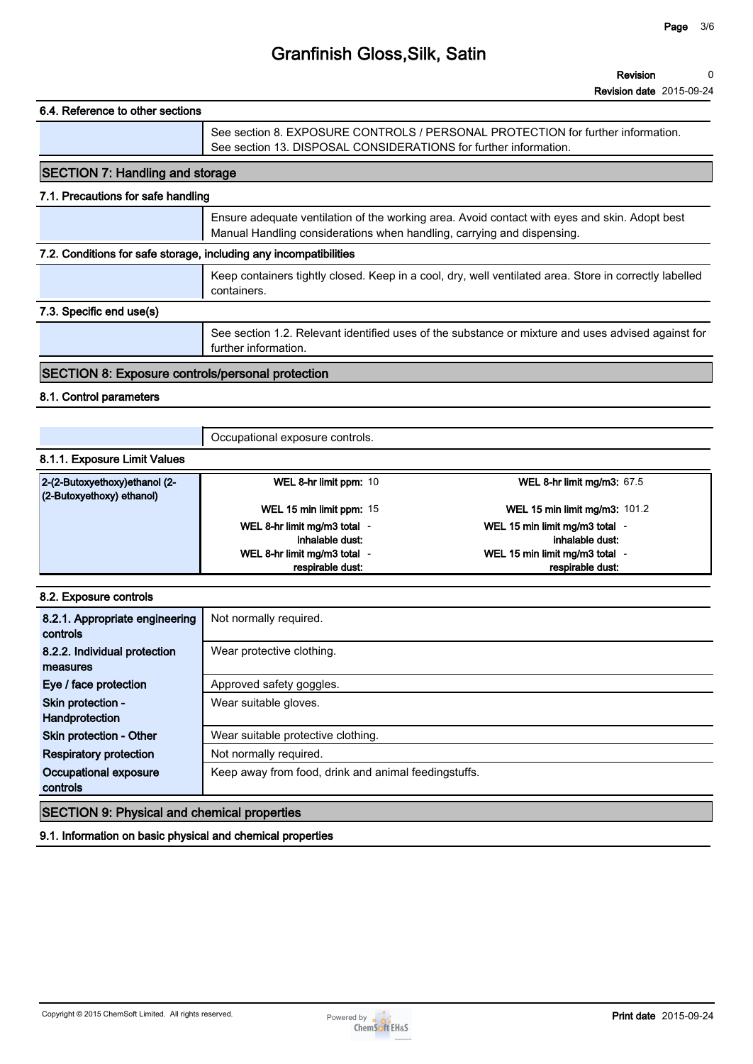| 6.4. Reference to other sections                                  |                                                                                                                                                                         |  |  |
|-------------------------------------------------------------------|-------------------------------------------------------------------------------------------------------------------------------------------------------------------------|--|--|
|                                                                   | See section 8. EXPOSURE CONTROLS / PERSONAL PROTECTION for further information.<br>See section 13. DISPOSAL CONSIDERATIONS for further information.                     |  |  |
| <b>SECTION 7: Handling and storage</b>                            |                                                                                                                                                                         |  |  |
| 7.1. Precautions for safe handling                                |                                                                                                                                                                         |  |  |
|                                                                   | Ensure adequate ventilation of the working area. Avoid contact with eyes and skin. Adopt best<br>Manual Handling considerations when handling, carrying and dispensing. |  |  |
| 7.2. Conditions for safe storage, including any incompatibilities |                                                                                                                                                                         |  |  |
|                                                                   | Keep containers tightly closed. Keep in a cool, dry, well ventilated area. Store in correctly labelled<br>containers.                                                   |  |  |
| 7.3. Specific end use(s)                                          |                                                                                                                                                                         |  |  |
|                                                                   | See section 1.2. Relevant identified uses of the substance or mixture and uses advised against for<br>further information.                                              |  |  |
| <b>SECTION 8: Exposure controls/personal protection</b>           |                                                                                                                                                                         |  |  |
| 8.1. Control parameters                                           |                                                                                                                                                                         |  |  |

**Occupational exposure controls.**

### **8.1.1. Exposure Limit Values**

| 2-(2-Butoxyethoxy)ethanol (2-<br>$(2$ -Butoxyethoxy) ethanol) | WEL 8-hr limit ppm: 10       | WEL 8-hr limit mg/m3: $67.5$         |
|---------------------------------------------------------------|------------------------------|--------------------------------------|
|                                                               | WEL 15 min limit ppm: 15     | <b>WEL 15 min limit mg/m3: 101.2</b> |
|                                                               | WEL 8-hr limit mg/m3 total - | WEL 15 min limit mg/m3 total -       |
|                                                               | inhalable dust:              | inhalable dust:                      |
|                                                               | WEL 8-hr limit mg/m3 total - | WEL 15 min limit mg/m3 total -       |
|                                                               | respirable dust:             | respirable dust:                     |

### **8.2. Exposure controls**

| 8.2.1. Appropriate engineering<br>controls         | Not normally required.                               |
|----------------------------------------------------|------------------------------------------------------|
| 8.2.2. Individual protection<br>measures           | Wear protective clothing.                            |
| Eye / face protection                              | Approved safety goggles.                             |
| Skin protection -<br>Handprotection                | Wear suitable gloves.                                |
| Skin protection - Other                            | Wear suitable protective clothing.                   |
| <b>Respiratory protection</b>                      | Not normally required.                               |
| Occupational exposure<br>controls                  | Keep away from food, drink and animal feedingstuffs. |
| <b>SECTION 9: Physical and chemical properties</b> |                                                      |

**9.1. Information on basic physical and chemical properties**

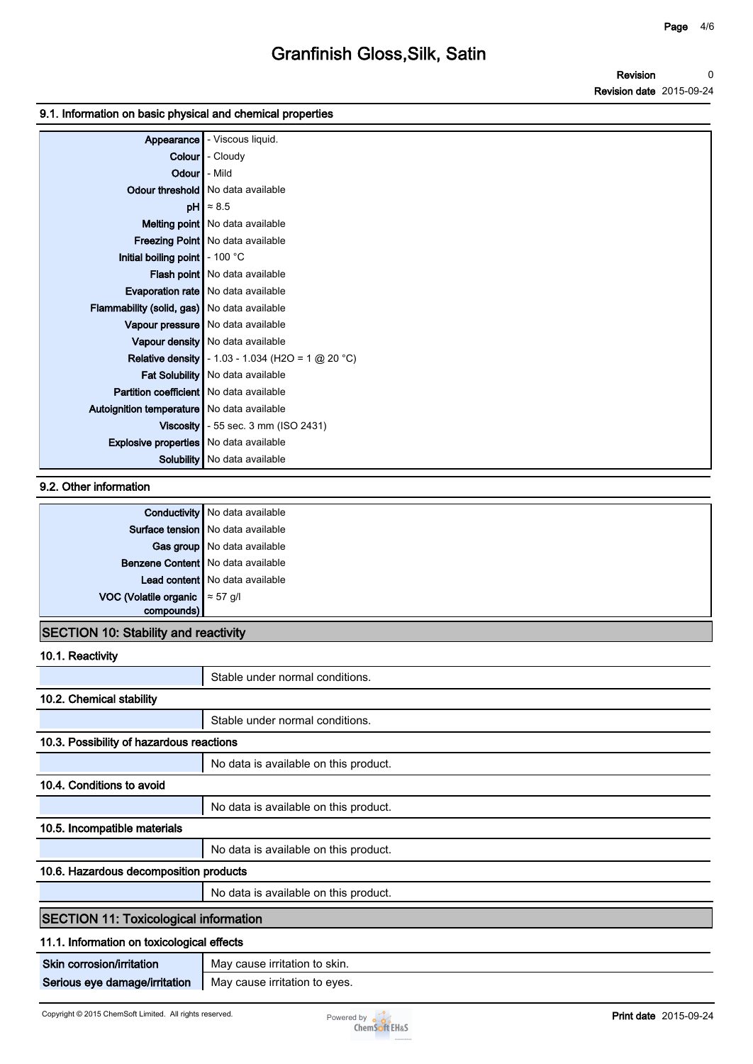#### **9.1. Information on basic physical and chemical properties**

| Appearance                                     | - Viscous liquid.                                        |
|------------------------------------------------|----------------------------------------------------------|
| <b>Colour</b>                                  | - Cloudy                                                 |
| Odour                                          | l - Mild                                                 |
|                                                | Odour threshold   No data available                      |
|                                                | $pH$ $\approx 8.5$                                       |
|                                                | <b>Melting point</b> No data available                   |
|                                                | Freezing Point   No data available                       |
| Initial boiling point   - 100 °C               |                                                          |
|                                                | Flash point No data available                            |
|                                                | <b>Evaporation rate</b>   No data available              |
| Flammability (solid, gas) No data available    |                                                          |
|                                                | Vapour pressure   No data available                      |
|                                                | Vapour density   No data available                       |
|                                                | <b>Relative density</b> - 1.03 - 1.034 (H2O = 1 @ 20 °C) |
|                                                | Fat Solubility   No data available                       |
| <b>Partition coefficient</b> No data available |                                                          |
| Autoignition temperature   No data available   |                                                          |
| Viscosity                                      | - 55 sec. 3 mm (ISO 2431)                                |
| Explosive properties   No data available       |                                                          |
| Solubility                                     | No data available                                        |

## **9.2. Other information**

|                                        | <b>Conductivity</b> No data available |
|----------------------------------------|---------------------------------------|
|                                        | Surface tension   No data available   |
|                                        | Gas group   No data available         |
|                                        | Benzene Content   No data available   |
|                                        | Lead content   No data available      |
| VOC (Volatile organic $\approx 57$ g/l |                                       |
| compounds)                             |                                       |

# **SECTION 10: Stability and reactivity**

**10.1. Reactivity**

|                                              | Stable under normal conditions.       |  |
|----------------------------------------------|---------------------------------------|--|
| 10.2. Chemical stability                     |                                       |  |
|                                              | Stable under normal conditions.       |  |
| 10.3. Possibility of hazardous reactions     |                                       |  |
|                                              | No data is available on this product. |  |
| 10.4. Conditions to avoid                    |                                       |  |
|                                              | No data is available on this product. |  |
| 10.5. Incompatible materials                 |                                       |  |
|                                              | No data is available on this product. |  |
| 10.6. Hazardous decomposition products       |                                       |  |
|                                              | No data is available on this product. |  |
| <b>SECTION 11: Toxicological information</b> |                                       |  |
| 11.1. Information on toxicological effects   |                                       |  |
| Skin corrosion/irritation                    | May cause irritation to skin.         |  |
| Serious eye damage/irritation                | May cause irritation to eyes.         |  |

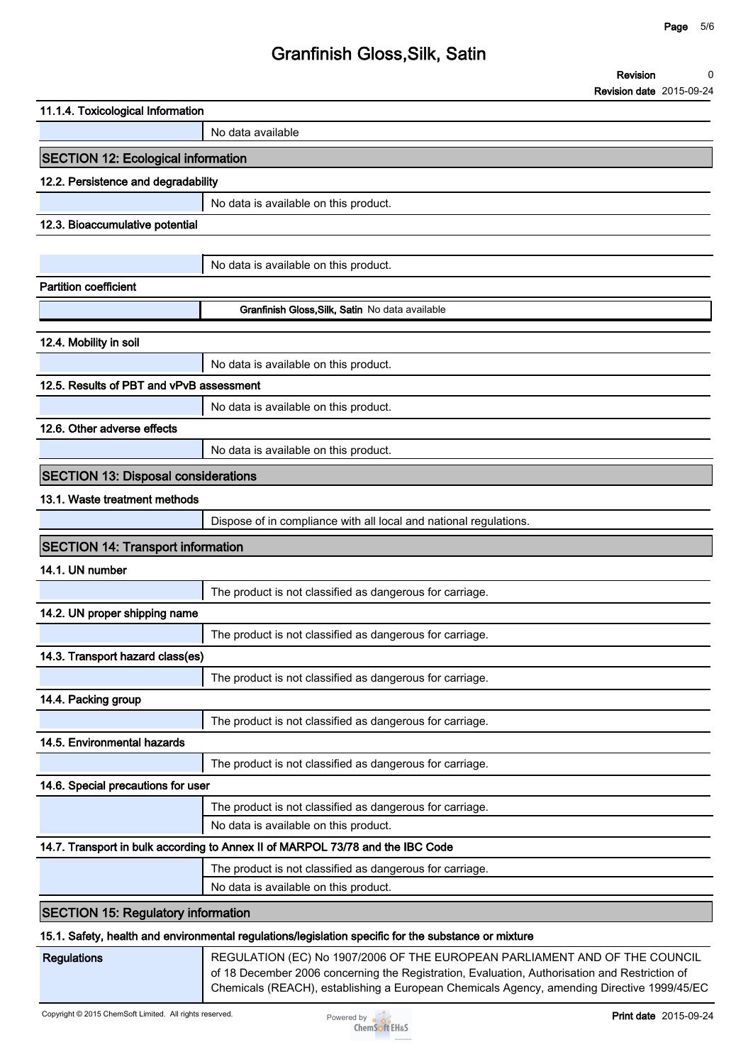**Revision Revision date 2015-09-24 0**

| 11.1.4. Toxicological Information                                                                    |                                                                                                                                                                                                                                                                           |
|------------------------------------------------------------------------------------------------------|---------------------------------------------------------------------------------------------------------------------------------------------------------------------------------------------------------------------------------------------------------------------------|
|                                                                                                      | No data available                                                                                                                                                                                                                                                         |
| <b>SECTION 12: Ecological information</b>                                                            |                                                                                                                                                                                                                                                                           |
| 12.2. Persistence and degradability                                                                  |                                                                                                                                                                                                                                                                           |
|                                                                                                      | No data is available on this product.                                                                                                                                                                                                                                     |
| 12.3. Bioaccumulative potential                                                                      |                                                                                                                                                                                                                                                                           |
|                                                                                                      |                                                                                                                                                                                                                                                                           |
|                                                                                                      | No data is available on this product.                                                                                                                                                                                                                                     |
| <b>Partition coefficient</b>                                                                         |                                                                                                                                                                                                                                                                           |
|                                                                                                      | Granfinish Gloss, Silk, Satin No data available                                                                                                                                                                                                                           |
| 12.4. Mobility in soil                                                                               |                                                                                                                                                                                                                                                                           |
|                                                                                                      | No data is available on this product.                                                                                                                                                                                                                                     |
| 12.5. Results of PBT and vPvB assessment                                                             |                                                                                                                                                                                                                                                                           |
|                                                                                                      | No data is available on this product.                                                                                                                                                                                                                                     |
| 12.6. Other adverse effects                                                                          |                                                                                                                                                                                                                                                                           |
|                                                                                                      | No data is available on this product.                                                                                                                                                                                                                                     |
| <b>SECTION 13: Disposal considerations</b>                                                           |                                                                                                                                                                                                                                                                           |
| 13.1. Waste treatment methods                                                                        |                                                                                                                                                                                                                                                                           |
|                                                                                                      | Dispose of in compliance with all local and national regulations.                                                                                                                                                                                                         |
| <b>SECTION 14: Transport information</b>                                                             |                                                                                                                                                                                                                                                                           |
| 14.1. UN number                                                                                      |                                                                                                                                                                                                                                                                           |
|                                                                                                      | The product is not classified as dangerous for carriage.                                                                                                                                                                                                                  |
| 14.2. UN proper shipping name                                                                        |                                                                                                                                                                                                                                                                           |
|                                                                                                      | The product is not classified as dangerous for carriage.                                                                                                                                                                                                                  |
| 14.3. Transport hazard class(es)                                                                     |                                                                                                                                                                                                                                                                           |
|                                                                                                      | The product is not classified as dangerous for carriage.                                                                                                                                                                                                                  |
| 14.4. Packing group                                                                                  |                                                                                                                                                                                                                                                                           |
|                                                                                                      | The product is not classified as dangerous for carriage.                                                                                                                                                                                                                  |
| 14.5. Environmental hazards                                                                          |                                                                                                                                                                                                                                                                           |
|                                                                                                      | The product is not classified as dangerous for carriage.                                                                                                                                                                                                                  |
| 14.6. Special precautions for user                                                                   |                                                                                                                                                                                                                                                                           |
|                                                                                                      | The product is not classified as dangerous for carriage.                                                                                                                                                                                                                  |
|                                                                                                      | No data is available on this product.                                                                                                                                                                                                                                     |
|                                                                                                      | 14.7. Transport in bulk according to Annex II of MARPOL 73/78 and the IBC Code                                                                                                                                                                                            |
|                                                                                                      | The product is not classified as dangerous for carriage.                                                                                                                                                                                                                  |
|                                                                                                      | No data is available on this product.                                                                                                                                                                                                                                     |
| <b>SECTION 15: Regulatory information</b>                                                            |                                                                                                                                                                                                                                                                           |
| 15.1. Safety, health and environmental regulations/legislation specific for the substance or mixture |                                                                                                                                                                                                                                                                           |
| <b>Regulations</b>                                                                                   | REGULATION (EC) No 1907/2006 OF THE EUROPEAN PARLIAMENT AND OF THE COUNCIL<br>of 18 December 2006 concerning the Registration, Evaluation, Authorisation and Restriction of<br>Chemicals (REACH), establishing a European Chemicals Agency, amending Directive 1999/45/EC |